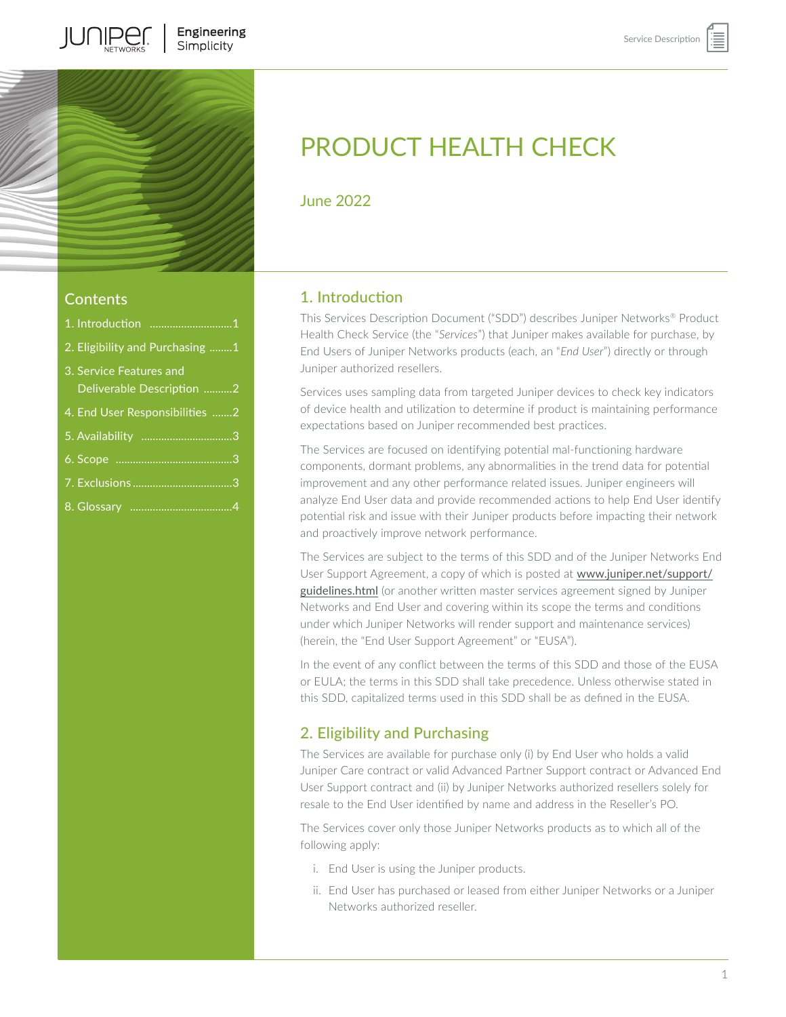

## Contents

**IUNIPE** 

| 1. Introduction 1                                    |
|------------------------------------------------------|
| 2. Eligibility and Purchasing 1                      |
| 3. Service Features and<br>Deliverable Description 2 |
| 4. End User Responsibilities 2                       |
| 5. Availability 3                                    |
|                                                      |
|                                                      |
|                                                      |

# PRODUCT HEALTH CHECK

June 2022

# 1. Introduction

This Services Description Document ("SDD") describes Juniper Networks® Product Health Check Service (the "*Services*") that Juniper makes available for purchase, by End Users of Juniper Networks products (each, an "*End User*") directly or through Juniper authorized resellers.

Services uses sampling data from targeted Juniper devices to check key indicators of device health and utilization to determine if product is maintaining performance expectations based on Juniper recommended best practices.

The Services are focused on identifying potential mal-functioning hardware components, dormant problems, any abnormalities in the trend data for potential improvement and any other performance related issues. Juniper engineers will analyze End User data and provide recommended actions to help End User identify potential risk and issue with their Juniper products before impacting their network and proactively improve network performance.

The Services are subject to the terms of this SDD and of the Juniper Networks End User Support Agreement, a copy of which is posted at [www.juniper.net/support/](http://www.juniper.net/support/guidelines.html) [guidelines.html](http://www.juniper.net/support/guidelines.html) (or another written master services agreement signed by Juniper Networks and End User and covering within its scope the terms and conditions under which Juniper Networks will render support and maintenance services) (herein, the "End User Support Agreement" or "EUSA").

In the event of any conflict between the terms of this SDD and those of the EUSA or EULA; the terms in this SDD shall take precedence. Unless otherwise stated in this SDD, capitalized terms used in this SDD shall be as defined in the EUSA.

# 2. Eligibility and Purchasing

The Services are available for purchase only (i) by End User who holds a valid Juniper Care contract or valid Advanced Partner Support contract or Advanced End User Support contract and (ii) by Juniper Networks authorized resellers solely for resale to the End User identified by name and address in the Reseller's PO.

The Services cover only those Juniper Networks products as to which all of the following apply:

- i. End User is using the Juniper products.
- ii. End User has purchased or leased from either Juniper Networks or a Juniper Networks authorized reseller.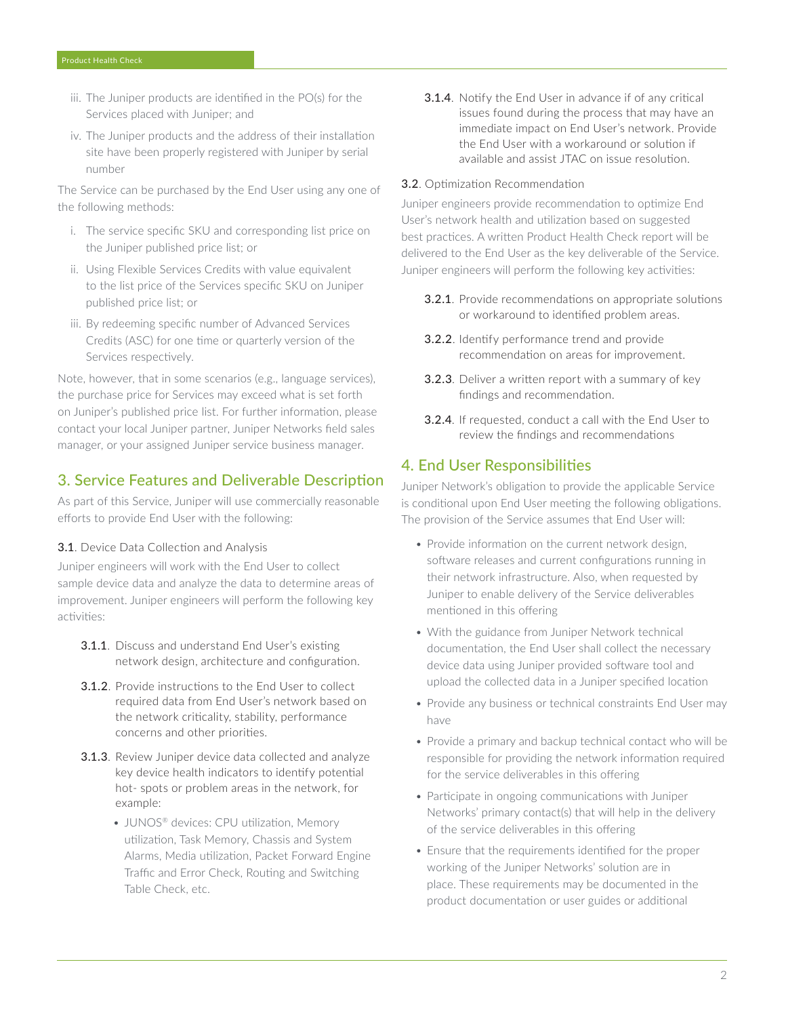- <span id="page-1-0"></span>iii. The Juniper products are identified in the PO(s) for the Services placed with Juniper; and
- iv. The Juniper products and the address of their installation site have been properly registered with Juniper by serial number

The Service can be purchased by the End User using any one of the following methods:

- i. The service specific SKU and corresponding list price on the Juniper published price list; or
- ii. Using Flexible Services Credits with value equivalent to the list price of the Services specific SKU on Juniper published price list; or
- iii. By redeeming specific number of Advanced Services Credits (ASC) for one time or quarterly version of the Services respectively.

Note, however, that in some scenarios (e.g., language services), the purchase price for Services may exceed what is set forth on Juniper's published price list. For further information, please contact your local Juniper partner, Juniper Networks field sales manager, or your assigned Juniper service business manager.

## 3. Service Features and Deliverable Description

As part of this Service, Juniper will use commercially reasonable efforts to provide End User with the following:

#### 3.1. Device Data Collection and Analysis

Juniper engineers will work with the End User to collect sample device data and analyze the data to determine areas of improvement. Juniper engineers will perform the following key activities:

- **3.1.1.** Discuss and understand End User's existing network design, architecture and configuration.
- 3.1.2. Provide instructions to the End User to collect required data from End User's network based on the network criticality, stability, performance concerns and other priorities.
- **3.1.3**. Review Juniper device data collected and analyze key device health indicators to identify potential hot- spots or problem areas in the network, for example:
	- JUNOS<sup>®</sup> devices: CPU utilization, Memory utilization, Task Memory, Chassis and System Alarms, Media utilization, Packet Forward Engine Traffic and Error Check, Routing and Switching Table Check, etc.

**3.1.4**. Notify the End User in advance if of any critical issues found during the process that may have an immediate impact on End User's network. Provide the End User with a workaround or solution if available and assist JTAC on issue resolution.

#### 3.2. Optimization Recommendation

Juniper engineers provide recommendation to optimize End User's network health and utilization based on suggested best practices. A written Product Health Check report will be delivered to the End User as the key deliverable of the Service. Juniper engineers will perform the following key activities:

- 3.2.1. Provide recommendations on appropriate solutions or workaround to identified problem areas.
- 3.2.2. Identify performance trend and provide recommendation on areas for improvement.
- 3.2.3. Deliver a written report with a summary of key findings and recommendation.
- 3.2.4. If requested, conduct a call with the End User to review the findings and recommendations

#### 4. End User Responsibilities

Juniper Network's obligation to provide the applicable Service is conditional upon End User meeting the following obligations. The provision of the Service assumes that End User will:

- Provide information on the current network design, software releases and current configurations running in their network infrastructure. Also, when requested by Juniper to enable delivery of the Service deliverables mentioned in this offering
- With the guidance from Juniper Network technical documentation, the End User shall collect the necessary device data using Juniper provided software tool and upload the collected data in a Juniper specified location
- Provide any business or technical constraints End User may have
- Provide a primary and backup technical contact who will be responsible for providing the network information required for the service deliverables in this offering
- Participate in ongoing communications with Juniper Networks' primary contact(s) that will help in the delivery of the service deliverables in this offering
- Ensure that the requirements identified for the proper working of the Juniper Networks' solution are in place. These requirements may be documented in the product documentation or user guides or additional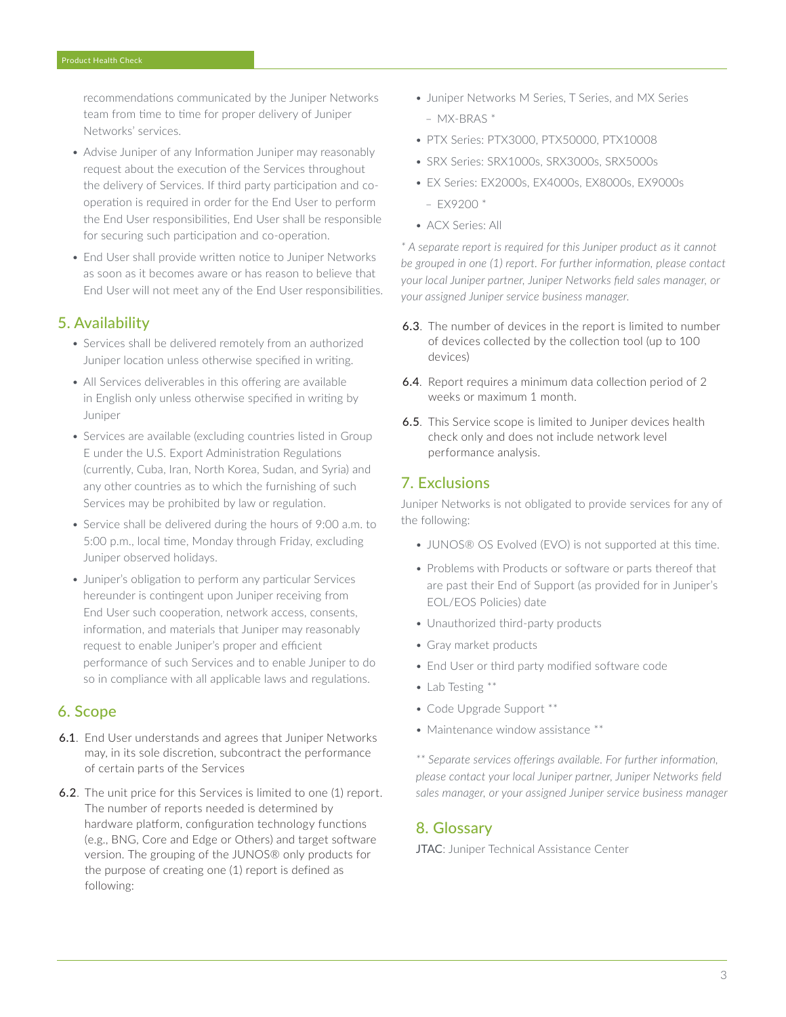<span id="page-2-0"></span>recommendations communicated by the Juniper Networks team from time to time for proper delivery of Juniper Networks' services.

- Advise Juniper of any Information Juniper may reasonably request about the execution of the Services throughout the delivery of Services. If third party participation and cooperation is required in order for the End User to perform the End User responsibilities, End User shall be responsible for securing such participation and co-operation.
- End User shall provide written notice to Juniper Networks as soon as it becomes aware or has reason to believe that End User will not meet any of the End User responsibilities.

#### 5. Availability

- Services shall be delivered remotely from an authorized Juniper location unless otherwise specified in writing.
- All Services deliverables in this offering are available in English only unless otherwise specified in writing by Juniper
- Services are available (excluding countries listed in Group E under the U.S. Export Administration Regulations (currently, Cuba, Iran, North Korea, Sudan, and Syria) and any other countries as to which the furnishing of such Services may be prohibited by law or regulation.
- Service shall be delivered during the hours of 9:00 a.m. to 5:00 p.m., local time, Monday through Friday, excluding Juniper observed holidays.
- Juniper's obligation to perform any particular Services hereunder is contingent upon Juniper receiving from End User such cooperation, network access, consents, information, and materials that Juniper may reasonably request to enable Juniper's proper and efficient performance of such Services and to enable Juniper to do so in compliance with all applicable laws and regulations.

#### 6. Scope

- 6.1. End User understands and agrees that Juniper Networks may, in its sole discretion, subcontract the performance of certain parts of the Services
- 6.2. The unit price for this Services is limited to one (1) report. The number of reports needed is determined by hardware platform, configuration technology functions (e.g., BNG, Core and Edge or Others) and target software version. The grouping of the JUNOS® only products for the purpose of creating one (1) report is defined as following:
- Juniper Networks M Series, T Series, and MX Series – MX-BRAS \*
- PTX Series: PTX3000, PTX50000, PTX10008
- SRX Series: SRX1000s, SRX3000s, SRX5000s
- EX Series: EX2000s, EX4000s, EX8000s, EX9000s  $-$  EX9200  $*$
- ACX Series: All

*\* A separate report is required for this Juniper product as it cannot be grouped in one (1) report. For further information, please contact your local Juniper partner, Juniper Networks field sales manager, or your assigned Juniper service business manager.*

- 6.3. The number of devices in the report is limited to number of devices collected by the collection tool (up to 100 devices)
- 6.4. Report requires a minimum data collection period of 2 weeks or maximum 1 month.
- 6.5. This Service scope is limited to Juniper devices health check only and does not include network level performance analysis.

### 7. Exclusions

Juniper Networks is not obligated to provide services for any of the following:

- JUNOS® OS Evolved (EVO) is not supported at this time.
- Problems with Products or software or parts thereof that are past their End of Support (as provided for in Juniper's EOL/EOS Policies) date
- Unauthorized third-party products
- Gray market products
- End User or third party modified software code
- Lab Testing \*\*
- Code Upgrade Support \*\*
- Maintenance window assistance \*\*

*\*\* Separate services offerings available. For further information, please contact your local Juniper partner, Juniper Networks field sales manager, or your assigned Juniper service business manager*

### 8. Glossary

JTAC: Juniper Technical Assistance Center